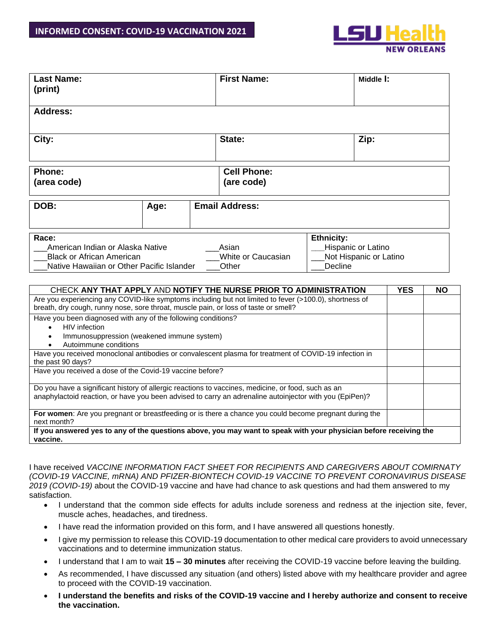

| <b>Last Name:</b><br>(print)                                                                                                                                                                                                                                                                                                                                                                                                                                                                                                                                                                                                                                                                                                                                                                                                                                                                                                                                    |                                                                                                                      |  | <b>First Name:</b>               | Middle I: |  |            |           |  |  |  |  |
|-----------------------------------------------------------------------------------------------------------------------------------------------------------------------------------------------------------------------------------------------------------------------------------------------------------------------------------------------------------------------------------------------------------------------------------------------------------------------------------------------------------------------------------------------------------------------------------------------------------------------------------------------------------------------------------------------------------------------------------------------------------------------------------------------------------------------------------------------------------------------------------------------------------------------------------------------------------------|----------------------------------------------------------------------------------------------------------------------|--|----------------------------------|-----------|--|------------|-----------|--|--|--|--|
| <b>Address:</b>                                                                                                                                                                                                                                                                                                                                                                                                                                                                                                                                                                                                                                                                                                                                                                                                                                                                                                                                                 |                                                                                                                      |  |                                  |           |  |            |           |  |  |  |  |
| City:                                                                                                                                                                                                                                                                                                                                                                                                                                                                                                                                                                                                                                                                                                                                                                                                                                                                                                                                                           |                                                                                                                      |  | State:<br>Zip:                   |           |  |            |           |  |  |  |  |
| Phone:<br>(area code)                                                                                                                                                                                                                                                                                                                                                                                                                                                                                                                                                                                                                                                                                                                                                                                                                                                                                                                                           |                                                                                                                      |  | <b>Cell Phone:</b><br>(are code) |           |  |            |           |  |  |  |  |
| DOB:                                                                                                                                                                                                                                                                                                                                                                                                                                                                                                                                                                                                                                                                                                                                                                                                                                                                                                                                                            | Age:                                                                                                                 |  | <b>Email Address:</b>            |           |  |            |           |  |  |  |  |
| Race:<br>American Indian or Alaska Native<br><b>Black or African American</b><br>Native Hawaiian or Other Pacific Islander                                                                                                                                                                                                                                                                                                                                                                                                                                                                                                                                                                                                                                                                                                                                                                                                                                      | <b>Ethnicity:</b><br>Hispanic or Latino<br>Asian<br>White or Caucasian<br>Not Hispanic or Latino<br>Decline<br>Other |  |                                  |           |  |            |           |  |  |  |  |
| CHECK ANY THAT APPLY AND NOTIFY THE NURSE PRIOR TO ADMINISTRATION<br>Are you experiencing any COVID-like symptoms including but not limited to fever (>100.0), shortness of<br>breath, dry cough, runny nose, sore throat, muscle pain, or loss of taste or smell?<br>Have you been diagnosed with any of the following conditions?<br>HIV infection<br>Immunosuppression (weakened immune system)<br>Autoimmune conditions<br>Have you received monoclonal antibodies or convalescent plasma for treatment of COVID-19 infection in<br>the past 90 days?<br>Have you received a dose of the Covid-19 vaccine before?<br>Do you have a significant history of allergic reactions to vaccines, medicine, or food, such as an<br>anaphylactoid reaction, or have you been advised to carry an adrenaline autoinjector with you (EpiPen)?<br>For women: Are you pregnant or breastfeeding or is there a chance you could become pregnant during the<br>next month? |                                                                                                                      |  |                                  |           |  | <b>YES</b> | <b>NO</b> |  |  |  |  |
| If you answered yes to any of the questions above, you may want to speak with your physician before receiving the<br>vaccine.                                                                                                                                                                                                                                                                                                                                                                                                                                                                                                                                                                                                                                                                                                                                                                                                                                   |                                                                                                                      |  |                                  |           |  |            |           |  |  |  |  |

I have received *VACCINE INFORMATION FACT SHEET FOR RECIPIENTS AND CAREGIVERS ABOUT COMIRNATY (COVID-19 VACCINE, mRNA) AND PFIZER-BIONTECH COVID-19 VACCINE TO PREVENT CORONAVIRUS DISEASE 2019 (COVID-19)* about the COVID-19 vaccine and have had chance to ask questions and had them answered to my satisfaction.

- I understand that the common side effects for adults include soreness and redness at the injection site, fever, muscle aches, headaches, and tiredness.
- I have read the information provided on this form, and I have answered all questions honestly.
- I give my permission to release this COVID-19 documentation to other medical care providers to avoid unnecessary vaccinations and to determine immunization status.
- I understand that I am to wait **15 – 30 minutes** after receiving the COVID-19 vaccine before leaving the building.
- As recommended, I have discussed any situation (and others) listed above with my healthcare provider and agree to proceed with the COVID-19 vaccination.
- **I understand the benefits and risks of the COVID-19 vaccine and I hereby authorize and consent to receive the vaccination.**